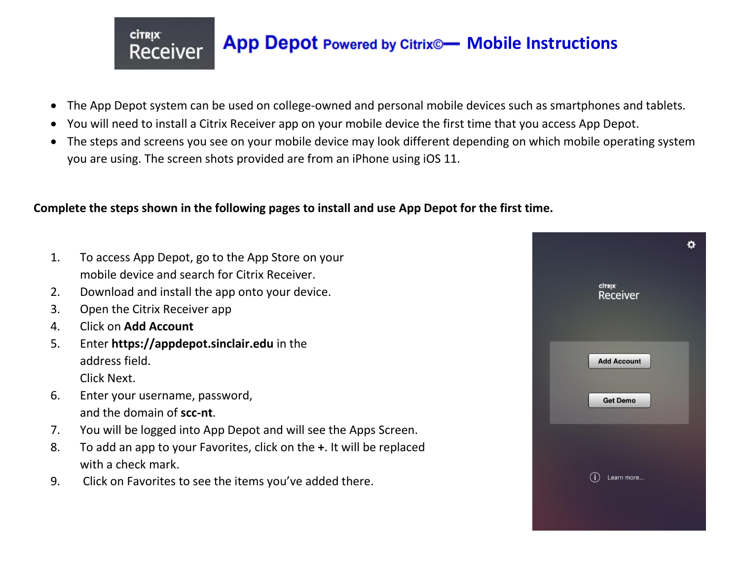- The App Depot system can be used on college-owned and personal mobile devices such as smartphones and tablets.
- You will need to install a Citrix Receiver app on your mobile device the first time that you access App Depot.
- The steps and screens you see on your mobile device may look different depending on which mobile operating system you are using. The screen shots provided are from an iPhone using iOS 11.

## **Complete the steps shown in the following pages to install and use App Depot for the first time.**

- 1. To access App Depot, go to the App Store on your mobile device and search for Citrix Receiver.
- 2. Download and install the app onto your device.
- 3. Open the Citrix Receiver app

**CİTRIX** 

**Receiver** 

- 4. Click on **Add Account**
- 5. Enter **https://appdepot.sinclair.edu** in the address field.

Click Next.

- 6. Enter your username, password, and the domain of **scc-nt**.
- 7. You will be logged into App Depot and will see the Apps Screen.
- 8. To add an app to your Favorites, click on the **+**. It will be replaced with a check mark.
- 9. Click on Favorites to see the items you've added there.